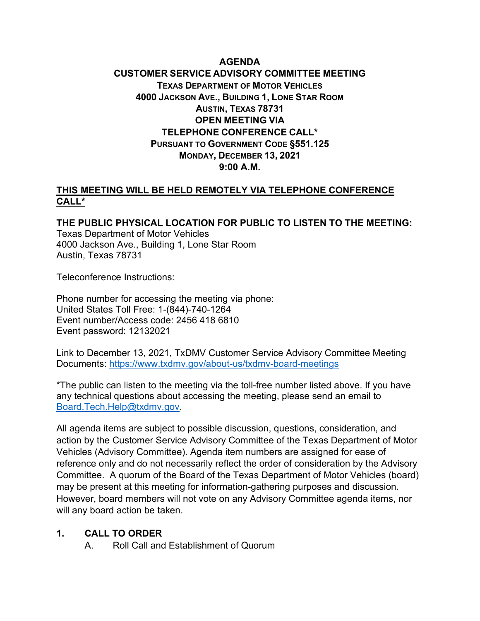## **AGENDA CUSTOMER SERVICE ADVISORY COMMITTEE MEETING TEXAS DEPARTMENT OF MOTOR VEHICLES 4000 JACKSON AVE., BUILDING 1, LONE STAR ROOM AUSTIN, TEXAS 78731 OPEN MEETING VIA TELEPHONE CONFERENCE CALL\* PURSUANT TO GOVERNMENT CODE §551.125 MONDAY, DECEMBER 13, 2021 9:00 A.M.**

#### **THIS MEETING WILL BE HELD REMOTELY VIA TELEPHONE CONFERENCE CALL\***

**THE PUBLIC PHYSICAL LOCATION FOR PUBLIC TO LISTEN TO THE MEETING:** Texas Department of Motor Vehicles 4000 Jackson Ave., Building 1, Lone Star Room Austin, Texas 78731

Teleconference Instructions:

Phone number for accessing the meeting via phone: United States Toll Free: 1-(844)-740-1264 Event number/Access code: 2456 418 6810 Event password: 12132021

Link to December 13, 2021, TxDMV Customer Service Advisory Committee Meeting Documents:<https://www.txdmv.gov/about-us/txdmv-board-meetings>

\*The public can listen to the meeting via the toll-free number listed above. If you have any technical questions about accessing the meeting, please send an email to [Board.Tech.Help@txdmv.gov.](mailto:Board.Tech.Help@txdmv.gov.)

All agenda items are subject to possible discussion, questions, consideration, and action by the Customer Service Advisory Committee of the Texas Department of Motor Vehicles (Advisory Committee). Agenda item numbers are assigned for ease of reference only and do not necessarily reflect the order of consideration by the Advisory Committee. A quorum of the Board of the Texas Department of Motor Vehicles (board) may be present at this meeting for information-gathering purposes and discussion. However, board members will not vote on any Advisory Committee agenda items, nor will any board action be taken.

#### **1. CALL TO ORDER**

A. Roll Call and Establishment of Quorum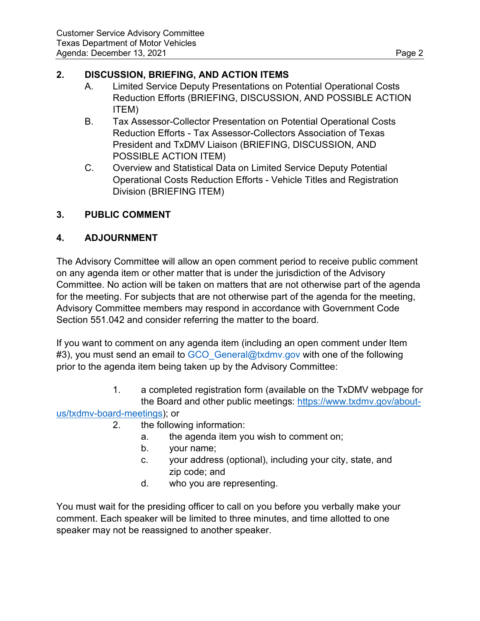## **2. DISCUSSION, BRIEFING, AND ACTION ITEMS**

- A. Limited Service Deputy Presentations on Potential Operational Costs Reduction Efforts (BRIEFING, DISCUSSION, AND POSSIBLE ACTION ITEM)
- B. Tax Assessor-Collector Presentation on Potential Operational Costs Reduction Efforts - Tax Assessor-Collectors Association of Texas President and TxDMV Liaison (BRIEFING, DISCUSSION, AND POSSIBLE ACTION ITEM)
- C. Overview and Statistical Data on Limited Service Deputy Potential Operational Costs Reduction Efforts - Vehicle Titles and Registration Division (BRIEFING ITEM)

# **3. PUBLIC COMMENT**

## **4. ADJOURNMENT**

The Advisory Committee will allow an open comment period to receive public comment on any agenda item or other matter that is under the jurisdiction of the Advisory Committee. No action will be taken on matters that are not otherwise part of the agenda for the meeting. For subjects that are not otherwise part of the agenda for the meeting, Advisory Committee members may respond in accordance with Government Code Section 551.042 and consider referring the matter to the board.

If you want to comment on any agenda item (including an open comment under Item #3), you must send an email to GCO General@txdmv.gov with one of the following prior to the agenda item being taken up by the Advisory Committee:

> 1. a completed registration form (available on the TxDMV webpage for the Board and other public meetings: [https://www.txdmv.gov/about-](https://www.txdmv.gov/about-us/txdmv-board-meetings)

#### [us/txdmv-board-meetings\)](https://www.txdmv.gov/about-us/txdmv-board-meetings); or

- 2. the following information:
	- a. the agenda item you wish to comment on;
	- b. your name;
	- c. your address (optional), including your city, state, and zip code; and
	- d. who you are representing.

You must wait for the presiding officer to call on you before you verbally make your comment. Each speaker will be limited to three minutes, and time allotted to one speaker may not be reassigned to another speaker.